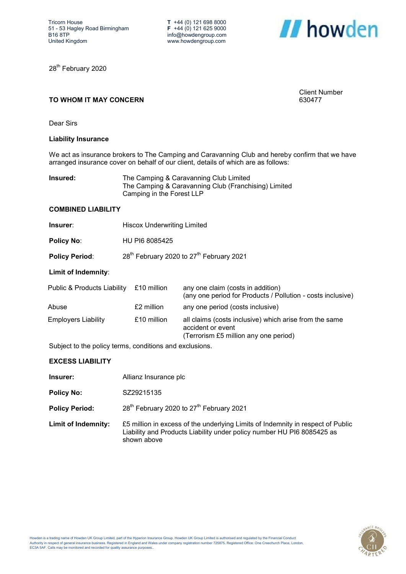**T** +44 (0) 121 698 8000 **F** +44 (0) 121 625 9000 info@howdengroup.com www.howdengroup.com



Client Number 630477

28<sup>th</sup> February 2020

# **TO WHOM IT MAY CONCERN**

Dear Sirs

### **Liability Insurance**

We act as insurance brokers to The Camping and Caravanning Club and hereby confirm that we have arranged insurance cover on behalf of our client, details of which are as follows:

| Insured: | The Camping & Caravanning Club Limited               |
|----------|------------------------------------------------------|
|          | The Camping & Caravanning Club (Franchising) Limited |
|          | Camping in the Forest LLP                            |

#### **COMBINED LIABILITY**

- **Insurer:** Hiscox Underwriting Limited
- **Policy No**: HU PI6 8085425
- **Policy Period:** 28<sup>th</sup> February 2020 to 27<sup>th</sup> February 2021

# **Limit of Indemnity**:

| Public & Products Liability | £10 million | any one claim (costs in addition)<br>(any one period for Products / Pollution - costs inclusive)                     |
|-----------------------------|-------------|----------------------------------------------------------------------------------------------------------------------|
| Abuse                       | £2 million  | any one period (costs inclusive)                                                                                     |
| Employers Liability         | £10 million | all claims (costs inclusive) which arise from the same<br>accident or event<br>(Terrorism £5 million any one period) |

Subject to the policy terms, conditions and exclusions.

# **EXCESS LIABILITY**

| Insurer:                   | Allianz Insurance plc                                                                                                                                                    |
|----------------------------|--------------------------------------------------------------------------------------------------------------------------------------------------------------------------|
| <b>Policy No:</b>          | SZ29215135                                                                                                                                                               |
| <b>Policy Period:</b>      | 28 <sup>th</sup> February 2020 to 27 <sup>th</sup> February 2021                                                                                                         |
| <b>Limit of Indemnity:</b> | £5 million in excess of the underlying Limits of Indemnity in respect of Public<br>Liability and Products Liability under policy number HU PI6 8085425 as<br>shown above |